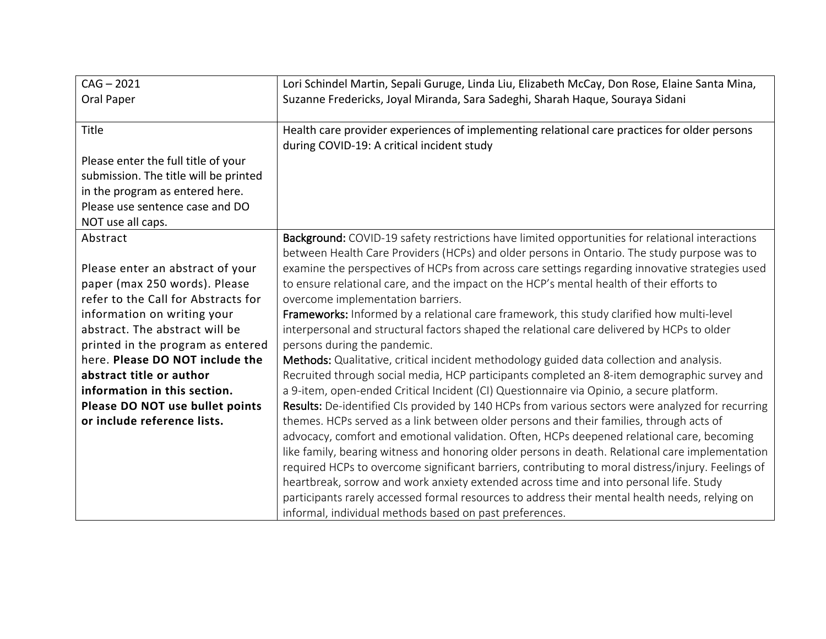| $CAG - 2021$                          | Lori Schindel Martin, Sepali Guruge, Linda Liu, Elizabeth McCay, Don Rose, Elaine Santa Mina,      |
|---------------------------------------|----------------------------------------------------------------------------------------------------|
| Oral Paper                            | Suzanne Fredericks, Joyal Miranda, Sara Sadeghi, Sharah Haque, Souraya Sidani                      |
|                                       |                                                                                                    |
| Title                                 | Health care provider experiences of implementing relational care practices for older persons       |
|                                       | during COVID-19: A critical incident study                                                         |
| Please enter the full title of your   |                                                                                                    |
| submission. The title will be printed |                                                                                                    |
| in the program as entered here.       |                                                                                                    |
| Please use sentence case and DO       |                                                                                                    |
| NOT use all caps.                     |                                                                                                    |
| Abstract                              | Background: COVID-19 safety restrictions have limited opportunities for relational interactions    |
|                                       | between Health Care Providers (HCPs) and older persons in Ontario. The study purpose was to        |
| Please enter an abstract of your      | examine the perspectives of HCPs from across care settings regarding innovative strategies used    |
| paper (max 250 words). Please         | to ensure relational care, and the impact on the HCP's mental health of their efforts to           |
| refer to the Call for Abstracts for   | overcome implementation barriers.                                                                  |
| information on writing your           | Frameworks: Informed by a relational care framework, this study clarified how multi-level          |
| abstract. The abstract will be        | interpersonal and structural factors shaped the relational care delivered by HCPs to older         |
| printed in the program as entered     | persons during the pandemic.                                                                       |
| here. Please DO NOT include the       | Methods: Qualitative, critical incident methodology guided data collection and analysis.           |
| abstract title or author              | Recruited through social media, HCP participants completed an 8-item demographic survey and        |
| information in this section.          | a 9-item, open-ended Critical Incident (CI) Questionnaire via Opinio, a secure platform.           |
| Please DO NOT use bullet points       | Results: De-identified CIs provided by 140 HCPs from various sectors were analyzed for recurring   |
| or include reference lists.           | themes. HCPs served as a link between older persons and their families, through acts of            |
|                                       | advocacy, comfort and emotional validation. Often, HCPs deepened relational care, becoming         |
|                                       | like family, bearing witness and honoring older persons in death. Relational care implementation   |
|                                       | required HCPs to overcome significant barriers, contributing to moral distress/injury. Feelings of |
|                                       | heartbreak, sorrow and work anxiety extended across time and into personal life. Study             |
|                                       | participants rarely accessed formal resources to address their mental health needs, relying on     |
|                                       | informal, individual methods based on past preferences.                                            |